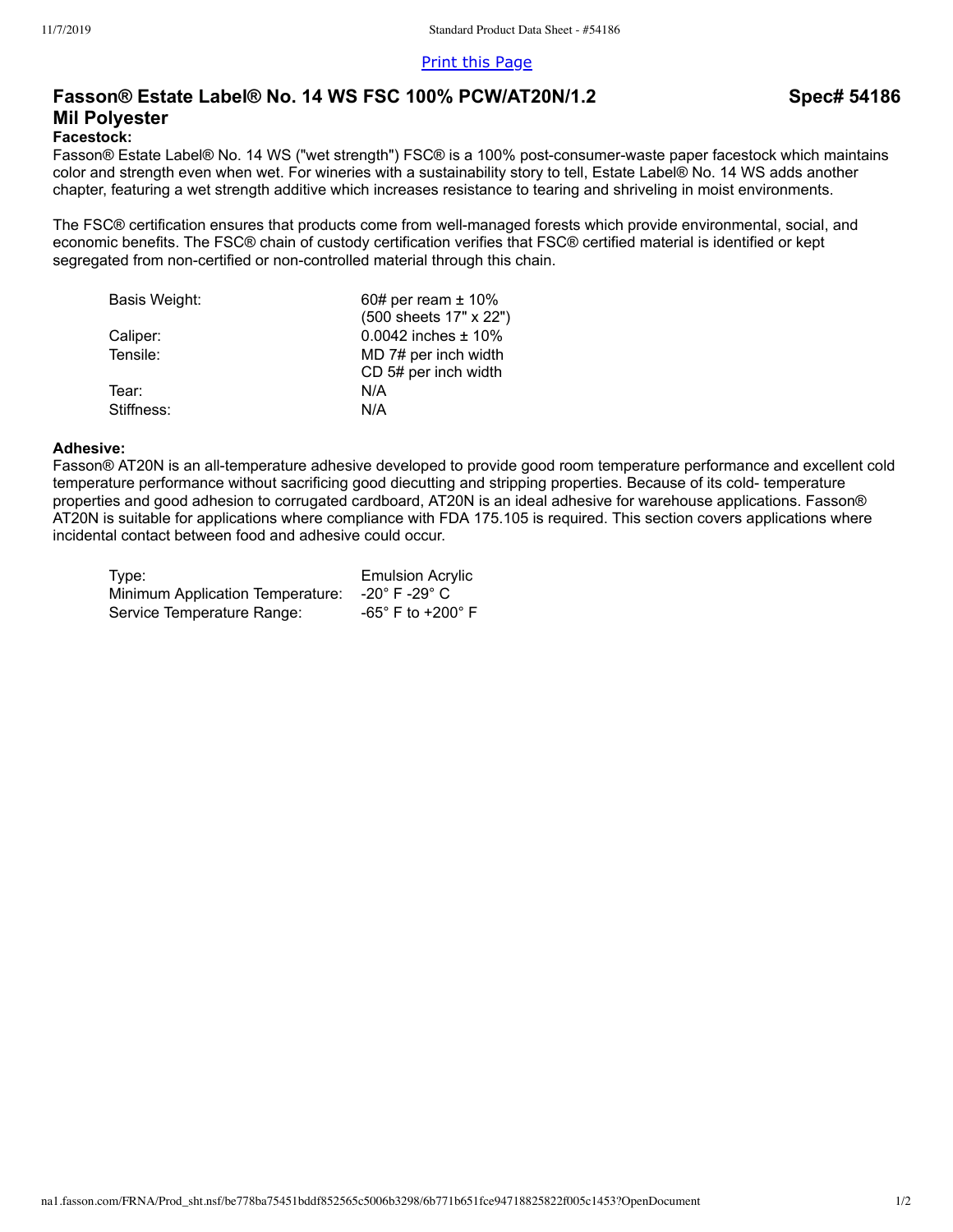[Print this Page](javascript:printPage())

# **Fasson® Estate Label® No. 14 WS FSC 100% PCW/AT20N/1.2 Mil Polyester**

#### **Facestock:**

Fasson® Estate Label® No. 14 WS ("wet strength") FSC® is a 100% post-consumer-waste paper facestock which maintains color and strength even when wet. For wineries with a sustainability story to tell, Estate Label® No. 14 WS adds another chapter, featuring a wet strength additive which increases resistance to tearing and shriveling in moist environments.

The FSC® certification ensures that products come from well-managed forests which provide environmental, social, and economic benefits. The FSC® chain of custody certification verifies that FSC® certified material is identified or kept segregated from non-certified or non-controlled material through this chain.

| 60# per ream $\pm$ 10%    |
|---------------------------|
| (500 sheets 17" x 22")    |
| $0.0042$ inches $\pm$ 10% |
| MD 7# per inch width      |
| CD 5# per inch width      |
| N/A                       |
| N/A                       |
|                           |

#### **Adhesive:**

Fasson® AT20N is an all-temperature adhesive developed to provide good room temperature performance and excellent cold temperature performance without sacrificing good diecutting and stripping properties. Because of its cold- temperature properties and good adhesion to corrugated cardboard, AT20N is an ideal adhesive for warehouse applications. Fasson® AT20N is suitable for applications where compliance with FDA 175.105 is required. This section covers applications where incidental contact between food and adhesive could occur.

| Type:                            | <b>Emulsion Acrylic</b>         |
|----------------------------------|---------------------------------|
| Minimum Application Temperature: | -20° F -29° C                   |
| Service Temperature Range:       | $-65^\circ$ F to $+200^\circ$ F |